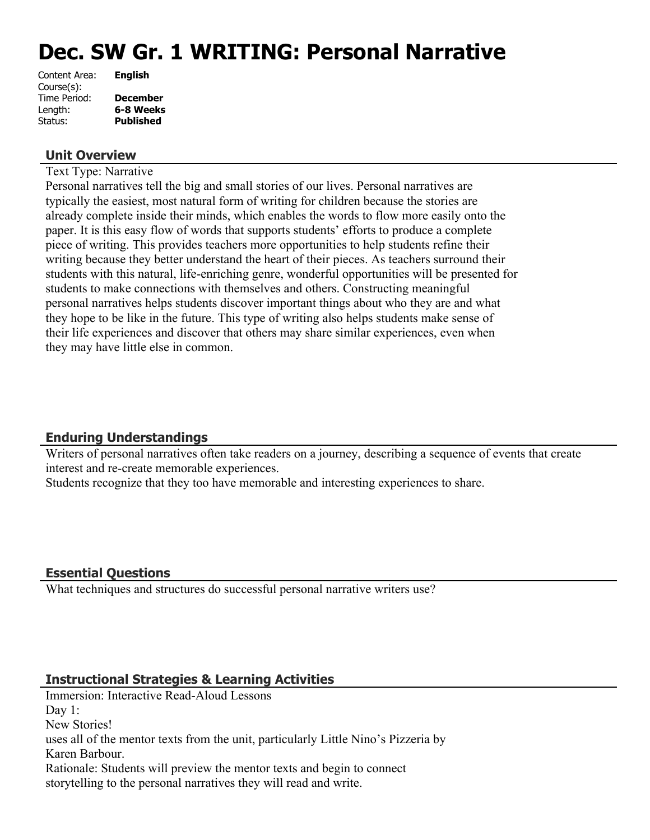# **Dec. SW Gr. 1 WRITING: Personal Narrative**

| Content Area: | <b>English</b>   |
|---------------|------------------|
| Course(s):    |                  |
| Time Period:  | <b>December</b>  |
| Length:       | 6-8 Weeks        |
| Status:       | <b>Published</b> |
|               |                  |

## **Unit Overview**

Text Type: Narrative

Personal narratives tell the big and small stories of our lives. Personal narratives are typically the easiest, most natural form of writing for children because the stories are already complete inside their minds, which enables the words to flow more easily onto the paper. It is this easy flow of words that supports students' efforts to produce a complete piece of writing. This provides teachers more opportunities to help students refine their writing because they better understand the heart of their pieces. As teachers surround their students with this natural, life-enriching genre, wonderful opportunities will be presented for students to make connections with themselves and others. Constructing meaningful personal narratives helps students discover important things about who they are and what they hope to be like in the future. This type of writing also helps students make sense of their life experiences and discover that others may share similar experiences, even when they may have little else in common.

## **Enduring Understandings**

Writers of personal narratives often take readers on a journey, describing a sequence of events that create interest and re-create memorable experiences.

Students recognize that they too have memorable and interesting experiences to share.

## **Essential Questions**

What techniques and structures do successful personal narrative writers use?

## **Instructional Strategies & Learning Activities**

Immersion: Interactive Read-Aloud Lessons Day 1: New Stories! uses all of the mentor texts from the unit, particularly Little Nino's Pizzeria by Karen Barbour. Rationale: Students will preview the mentor texts and begin to connect storytelling to the personal narratives they will read and write.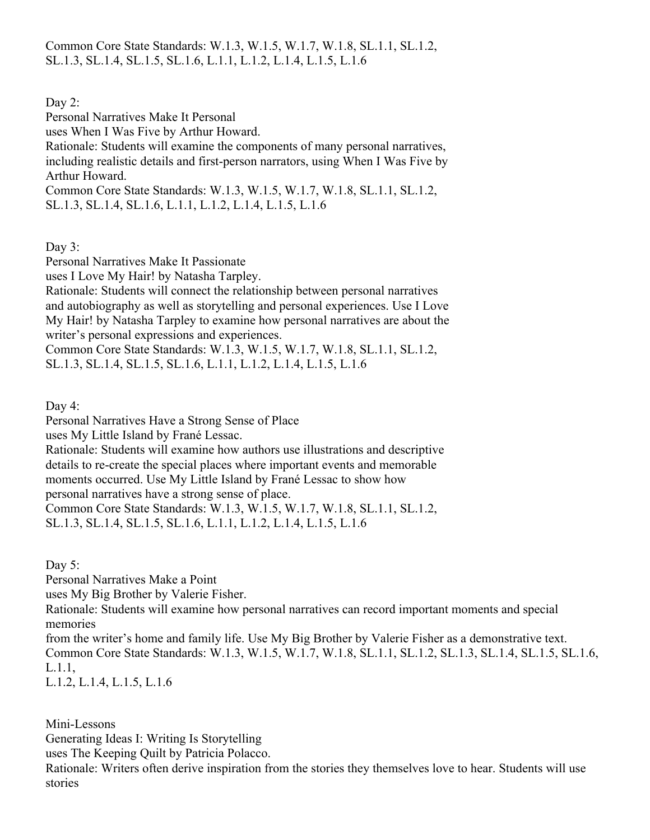Common Core State Standards: W.1.3, W.1.5, W.1.7, W.1.8, SL.1.1, SL.1.2, SL.1.3, SL.1.4, SL.1.5, SL.1.6, L.1.1, L.1.2, L.1.4, L.1.5, L.1.6

Day 2:

Personal Narratives Make It Personal

uses When I Was Five by Arthur Howard.

Rationale: Students will examine the components of many personal narratives, including realistic details and first-person narrators, using When I Was Five by Arthur Howard.

Common Core State Standards: W.1.3, W.1.5, W.1.7, W.1.8, SL.1.1, SL.1.2, SL.1.3, SL.1.4, SL.1.6, L.1.1, L.1.2, L.1.4, L.1.5, L.1.6

Day 3:

Personal Narratives Make It Passionate

uses I Love My Hair! by Natasha Tarpley.

Rationale: Students will connect the relationship between personal narratives and autobiography as well as storytelling and personal experiences. Use I Love My Hair! by Natasha Tarpley to examine how personal narratives are about the writer's personal expressions and experiences.

Common Core State Standards: W.1.3, W.1.5, W.1.7, W.1.8, SL.1.1, SL.1.2, SL.1.3, SL.1.4, SL.1.5, SL.1.6, L.1.1, L.1.2, L.1.4, L.1.5, L.1.6

Day 4:

Personal Narratives Have a Strong Sense of Place

uses My Little Island by Frané Lessac.

Rationale: Students will examine how authors use illustrations and descriptive details to re-create the special places where important events and memorable moments occurred. Use My Little Island by Frané Lessac to show how

personal narratives have a strong sense of place. Common Core State Standards: W.1.3, W.1.5, W.1.7, W.1.8, SL.1.1, SL.1.2,

SL.1.3, SL.1.4, SL.1.5, SL.1.6, L.1.1, L.1.2, L.1.4, L.1.5, L.1.6

Day 5:

Personal Narratives Make a Point

uses My Big Brother by Valerie Fisher.

Rationale: Students will examine how personal narratives can record important moments and special memories

from the writer's home and family life. Use My Big Brother by Valerie Fisher as a demonstrative text. Common Core State Standards: W.1.3, W.1.5, W.1.7, W.1.8, SL.1.1, SL.1.2, SL.1.3, SL.1.4, SL.1.5, SL.1.6, L.1.1,

L.1.2, L.1.4, L.1.5, L.1.6

Mini-Lessons

Generating Ideas I: Writing Is Storytelling

uses The Keeping Quilt by Patricia Polacco.

Rationale: Writers often derive inspiration from the stories they themselves love to hear. Students will use stories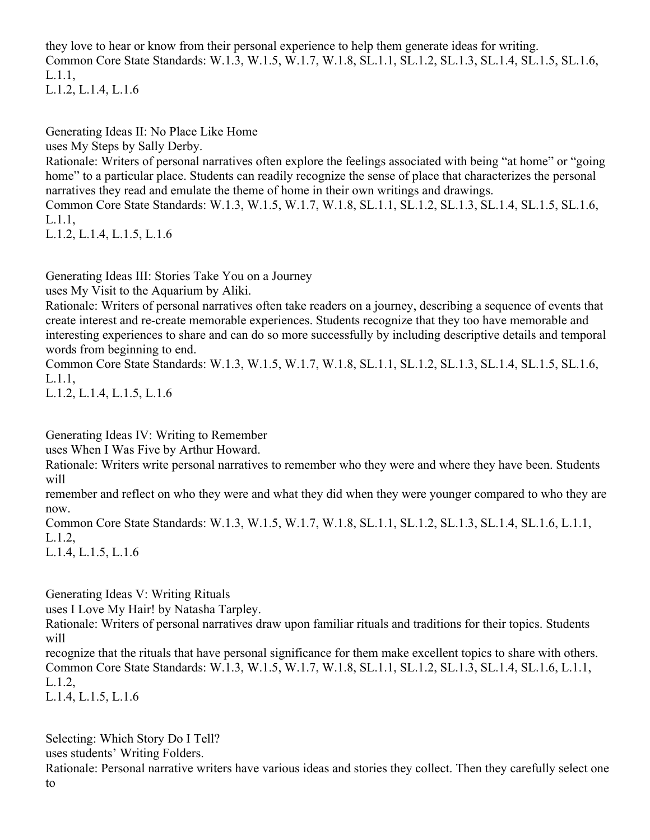they love to hear or know from their personal experience to help them generate ideas for writing. Common Core State Standards: W.1.3, W.1.5, W.1.7, W.1.8, SL.1.1, SL.1.2, SL.1.3, SL.1.4, SL.1.5, SL.1.6, L.1.1, L.1.2, L.1.4, L.1.6

Generating Ideas II: No Place Like Home uses My Steps by Sally Derby.

Rationale: Writers of personal narratives often explore the feelings associated with being "at home" or "going home" to a particular place. Students can readily recognize the sense of place that characterizes the personal narratives they read and emulate the theme of home in their own writings and drawings.

Common Core State Standards: W.1.3, W.1.5, W.1.7, W.1.8, SL.1.1, SL.1.2, SL.1.3, SL.1.4, SL.1.5, SL.1.6, L.1.1,

L.1.2, L.1.4, L.1.5, L.1.6

Generating Ideas III: Stories Take You on a Journey

uses My Visit to the Aquarium by Aliki.

Rationale: Writers of personal narratives often take readers on a journey, describing a sequence of events that create interest and re-create memorable experiences. Students recognize that they too have memorable and interesting experiences to share and can do so more successfully by including descriptive details and temporal words from beginning to end.

Common Core State Standards: W.1.3, W.1.5, W.1.7, W.1.8, SL.1.1, SL.1.2, SL.1.3, SL.1.4, SL.1.5, SL.1.6, L.1.1,

L.1.2, L.1.4, L.1.5, L.1.6

Generating Ideas IV: Writing to Remember

uses When I Was Five by Arthur Howard.

Rationale: Writers write personal narratives to remember who they were and where they have been. Students will

remember and reflect on who they were and what they did when they were younger compared to who they are now.

Common Core State Standards: W.1.3, W.1.5, W.1.7, W.1.8, SL.1.1, SL.1.2, SL.1.3, SL.1.4, SL.1.6, L.1.1, L.1.2,

L.1.4, L.1.5, L.1.6

Generating Ideas V: Writing Rituals

uses I Love My Hair! by Natasha Tarpley.

Rationale: Writers of personal narratives draw upon familiar rituals and traditions for their topics. Students will

recognize that the rituals that have personal significance for them make excellent topics to share with others. Common Core State Standards: W.1.3, W.1.5, W.1.7, W.1.8, SL.1.1, SL.1.2, SL.1.3, SL.1.4, SL.1.6, L.1.1, L.1.2,

L.1.4, L.1.5, L.1.6

Selecting: Which Story Do I Tell? uses students' Writing Folders. Rationale: Personal narrative writers have various ideas and stories they collect. Then they carefully select one to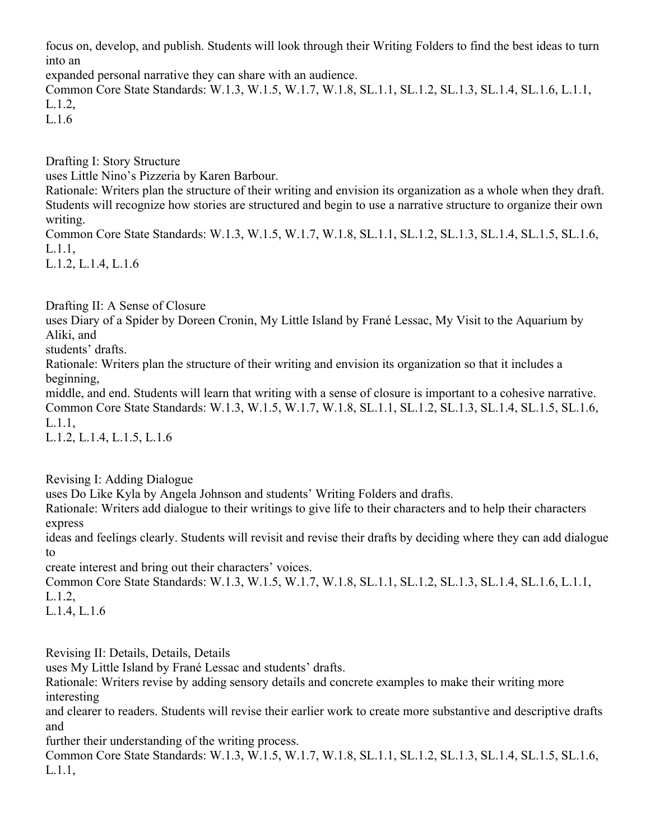focus on, develop, and publish. Students will look through their Writing Folders to find the best ideas to turn into an

expanded personal narrative they can share with an audience.

Common Core State Standards: W.1.3, W.1.5, W.1.7, W.1.8, SL.1.1, SL.1.2, SL.1.3, SL.1.4, SL.1.6, L.1.1, L.1.2,

L.1.6

Drafting I: Story Structure

uses Little Nino's Pizzeria by Karen Barbour.

Rationale: Writers plan the structure of their writing and envision its organization as a whole when they draft. Students will recognize how stories are structured and begin to use a narrative structure to organize their own writing.

Common Core State Standards: W.1.3, W.1.5, W.1.7, W.1.8, SL.1.1, SL.1.2, SL.1.3, SL.1.4, SL.1.5, SL.1.6, L.1.1,

L.1.2, L.1.4, L.1.6

Drafting II: A Sense of Closure

uses Diary of a Spider by Doreen Cronin, My Little Island by Frané Lessac, My Visit to the Aquarium by Aliki, and

students' drafts.

Rationale: Writers plan the structure of their writing and envision its organization so that it includes a beginning,

middle, and end. Students will learn that writing with a sense of closure is important to a cohesive narrative. Common Core State Standards: W.1.3, W.1.5, W.1.7, W.1.8, SL.1.1, SL.1.2, SL.1.3, SL.1.4, SL.1.5, SL.1.6, L.1.1,

L.1.2, L.1.4, L.1.5, L.1.6

Revising I: Adding Dialogue

uses Do Like Kyla by Angela Johnson and students' Writing Folders and drafts.

Rationale: Writers add dialogue to their writings to give life to their characters and to help their characters express

ideas and feelings clearly. Students will revisit and revise their drafts by deciding where they can add dialogue to

create interest and bring out their characters' voices.

Common Core State Standards: W.1.3, W.1.5, W.1.7, W.1.8, SL.1.1, SL.1.2, SL.1.3, SL.1.4, SL.1.6, L.1.1, L.1.2,

L.1.4, L.1.6

Revising II: Details, Details, Details

uses My Little Island by Frané Lessac and students' drafts.

Rationale: Writers revise by adding sensory details and concrete examples to make their writing more interesting

and clearer to readers. Students will revise their earlier work to create more substantive and descriptive drafts and

further their understanding of the writing process.

Common Core State Standards: W.1.3, W.1.5, W.1.7, W.1.8, SL.1.1, SL.1.2, SL.1.3, SL.1.4, SL.1.5, SL.1.6, L.1.1,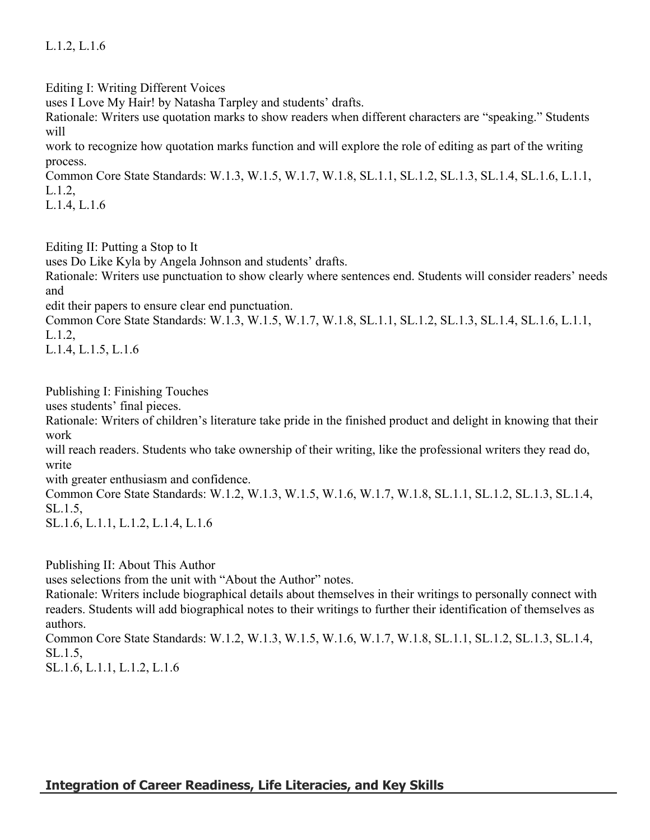L.1.2, L.1.6

Editing I: Writing Different Voices

uses I Love My Hair! by Natasha Tarpley and students' drafts.

Rationale: Writers use quotation marks to show readers when different characters are "speaking." Students will

work to recognize how quotation marks function and will explore the role of editing as part of the writing process.

Common Core State Standards: W.1.3, W.1.5, W.1.7, W.1.8, SL.1.1, SL.1.2, SL.1.3, SL.1.4, SL.1.6, L.1.1, L.1.2,

L.1.4, L.1.6

Editing II: Putting a Stop to It

uses Do Like Kyla by Angela Johnson and students' drafts.

Rationale: Writers use punctuation to show clearly where sentences end. Students will consider readers' needs and

edit their papers to ensure clear end punctuation.

Common Core State Standards: W.1.3, W.1.5, W.1.7, W.1.8, SL.1.1, SL.1.2, SL.1.3, SL.1.4, SL.1.6, L.1.1, L.1.2,

L.1.4, L.1.5, L.1.6

Publishing I: Finishing Touches

uses students' final pieces.

Rationale: Writers of children's literature take pride in the finished product and delight in knowing that their work

will reach readers. Students who take ownership of their writing, like the professional writers they read do, write

with greater enthusiasm and confidence.

Common Core State Standards: W.1.2, W.1.3, W.1.5, W.1.6, W.1.7, W.1.8, SL.1.1, SL.1.2, SL.1.3, SL.1.4, SL.1.5,

SL.1.6, L.1.1, L.1.2, L.1.4, L.1.6

Publishing II: About This Author

uses selections from the unit with "About the Author" notes.

Rationale: Writers include biographical details about themselves in their writings to personally connect with readers. Students will add biographical notes to their writings to further their identification of themselves as authors.

Common Core State Standards: W.1.2, W.1.3, W.1.5, W.1.6, W.1.7, W.1.8, SL.1.1, SL.1.2, SL.1.3, SL.1.4, SL.1.5,

SL.1.6, L.1.1, L.1.2, L.1.6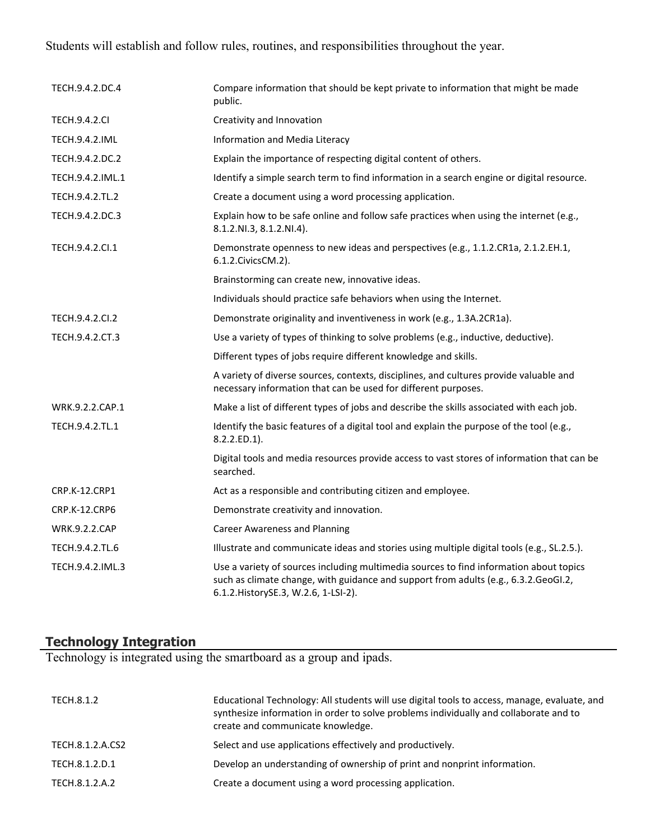Students will establish and follow rules, routines, and responsibilities throughout the year.

| TECH.9.4.2.DC.4      | Compare information that should be kept private to information that might be made<br>public.                                                                                                                           |
|----------------------|------------------------------------------------------------------------------------------------------------------------------------------------------------------------------------------------------------------------|
| <b>TECH.9.4.2.CI</b> | Creativity and Innovation                                                                                                                                                                                              |
| TECH.9.4.2.IML       | Information and Media Literacy                                                                                                                                                                                         |
| TECH.9.4.2.DC.2      | Explain the importance of respecting digital content of others.                                                                                                                                                        |
| TECH.9.4.2.IML.1     | Identify a simple search term to find information in a search engine or digital resource.                                                                                                                              |
| TECH.9.4.2.TL.2      | Create a document using a word processing application.                                                                                                                                                                 |
| TECH.9.4.2.DC.3      | Explain how to be safe online and follow safe practices when using the internet (e.g.,<br>8.1.2.NI.3, 8.1.2.NI.4).                                                                                                     |
| TECH.9.4.2.Cl.1      | Demonstrate openness to new ideas and perspectives (e.g., 1.1.2.CR1a, 2.1.2.EH.1,<br>6.1.2. Civics CM. 2).                                                                                                             |
|                      | Brainstorming can create new, innovative ideas.                                                                                                                                                                        |
|                      | Individuals should practice safe behaviors when using the Internet.                                                                                                                                                    |
| TECH.9.4.2.CI.2      | Demonstrate originality and inventiveness in work (e.g., 1.3A.2CR1a).                                                                                                                                                  |
| TECH.9.4.2.CT.3      | Use a variety of types of thinking to solve problems (e.g., inductive, deductive).                                                                                                                                     |
|                      | Different types of jobs require different knowledge and skills.                                                                                                                                                        |
|                      | A variety of diverse sources, contexts, disciplines, and cultures provide valuable and<br>necessary information that can be used for different purposes.                                                               |
| WRK.9.2.2.CAP.1      | Make a list of different types of jobs and describe the skills associated with each job.                                                                                                                               |
| TECH.9.4.2.TL.1      | Identify the basic features of a digital tool and explain the purpose of the tool (e.g.,<br>8.2.2.ED.1).                                                                                                               |
|                      | Digital tools and media resources provide access to vast stores of information that can be<br>searched.                                                                                                                |
| <b>CRP.K-12.CRP1</b> | Act as a responsible and contributing citizen and employee.                                                                                                                                                            |
| <b>CRP.K-12.CRP6</b> | Demonstrate creativity and innovation.                                                                                                                                                                                 |
| <b>WRK.9.2.2.CAP</b> | <b>Career Awareness and Planning</b>                                                                                                                                                                                   |
| TECH.9.4.2.TL.6      | Illustrate and communicate ideas and stories using multiple digital tools (e.g., SL.2.5.).                                                                                                                             |
| TECH.9.4.2.IML.3     | Use a variety of sources including multimedia sources to find information about topics<br>such as climate change, with guidance and support from adults (e.g., 6.3.2.GeoGI.2,<br>6.1.2. History SE.3, W.2.6, 1-LSI-2). |

# **Technology Integration**

Technology is integrated using the smartboard as a group and ipads.

| TECH.8.1.2       | Educational Technology: All students will use digital tools to access, manage, evaluate, and<br>synthesize information in order to solve problems individually and collaborate and to<br>create and communicate knowledge. |
|------------------|----------------------------------------------------------------------------------------------------------------------------------------------------------------------------------------------------------------------------|
| TECH.8.1.2.A.CS2 | Select and use applications effectively and productively.                                                                                                                                                                  |
| TECH.8.1.2.D.1   | Develop an understanding of ownership of print and nonprint information.                                                                                                                                                   |
| TECH.8.1.2.A.2   | Create a document using a word processing application.                                                                                                                                                                     |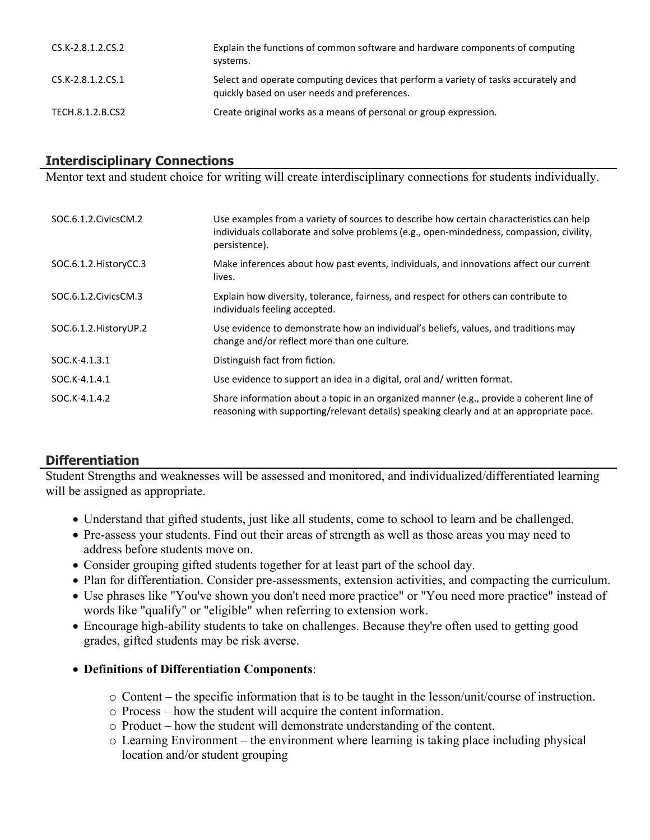| CS.K-2.8.1.2.CS.2 | Explain the functions of common software and hardware components of computing<br>systems.                                           |
|-------------------|-------------------------------------------------------------------------------------------------------------------------------------|
| CS.K-2.8.1.2.CS.1 | Select and operate computing devices that perform a variety of tasks accurately and<br>quickly based on user needs and preferences. |
| TECH.8.1.2.B.CS2  | Create original works as a means of personal or group expression.                                                                   |

## **Interdisciplinary Connections**

Mentor text and student choice for writing will create interdisciplinary connections for students individually.

| SOC.6.1.2. Civics CM.2  | Use examples from a variety of sources to describe how certain characteristics can help<br>individuals collaborate and solve problems (e.g., open-mindedness, compassion, civility,<br>persistence). |
|-------------------------|------------------------------------------------------------------------------------------------------------------------------------------------------------------------------------------------------|
| SOC.6.1.2. HistoryCC.3  | Make inferences about how past events, individuals, and innovations affect our current<br>lives.                                                                                                     |
| SOC.6.1.2. Civics CM.3  | Explain how diversity, tolerance, fairness, and respect for others can contribute to<br>individuals feeling accepted.                                                                                |
| SOC.6.1.2. History UP.2 | Use evidence to demonstrate how an individual's beliefs, values, and traditions may<br>change and/or reflect more than one culture.                                                                  |
| SOC.K-4.1.3.1           | Distinguish fact from fiction.                                                                                                                                                                       |
| SOC.K-4.1.4.1           | Use evidence to support an idea in a digital, oral and/written format.                                                                                                                               |
| SOC.K-4.1.4.2           | Share information about a topic in an organized manner (e.g., provide a coherent line of<br>reasoning with supporting/relevant details) speaking clearly and at an appropriate pace.                 |

## **Differentiation**

Student Strengths and weaknesses will be assessed and monitored, and individualized/differentiated learning will be assigned as appropriate.

- Understand that gifted students, just like all students, come to school to learn and be challenged.
- Pre-assess your students. Find out their areas of strength as well as those areas you may need to address before students move on.
- Consider grouping gifted students together for at least part of the school day.
- Plan for differentiation. Consider pre-assessments, extension activities, and compacting the curriculum.
- Use phrases like "You've shown you don't need more practice" or "You need more practice" instead of words like "qualify" or "eligible" when referring to extension work.
- Encourage high-ability students to take on challenges. Because they're often used to getting good grades, gifted students may be risk averse.

## **Definitions of Differentiation Components**:

- $\circ$  Content the specific information that is to be taught in the lesson/unit/course of instruction.
- o Process how the student will acquire the content information.
- o Product how the student will demonstrate understanding of the content.
- o Learning Environment the environment where learning is taking place including physical location and/or student grouping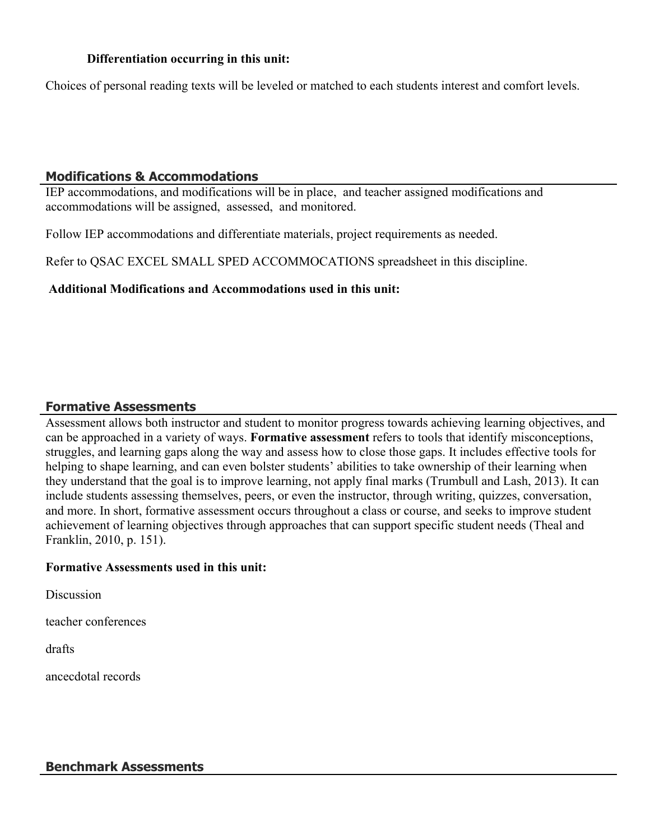#### **Differentiation occurring in this unit:**

Choices of personal reading texts will be leveled or matched to each students interest and comfort levels.

#### **Modifications & Accommodations**

IEP accommodations, and modifications will be in place, and teacher assigned modifications and accommodations will be assigned, assessed, and monitored.

Follow IEP accommodations and differentiate materials, project requirements as needed.

Refer to QSAC EXCEL SMALL SPED ACCOMMOCATIONS spreadsheet in this discipline.

#### **Additional Modifications and Accommodations used in this unit:**

#### **Formative Assessments**

Assessment allows both instructor and student to monitor progress towards achieving learning objectives, and can be approached in a variety of ways. **Formative assessment** refers to tools that identify misconceptions, struggles, and learning gaps along the way and assess how to close those gaps. It includes effective tools for helping to shape learning, and can even bolster students' abilities to take ownership of their learning when they understand that the goal is to improve learning, not apply final marks (Trumbull and Lash, 2013). It can include students assessing themselves, peers, or even the instructor, through writing, quizzes, conversation, and more. In short, formative assessment occurs throughout a class or course, and seeks to improve student achievement of learning objectives through approaches that can support specific student needs (Theal and Franklin, 2010, p. 151).

#### **Formative Assessments used in this unit:**

**Discussion** 

teacher conferences

drafts

ancecdotal records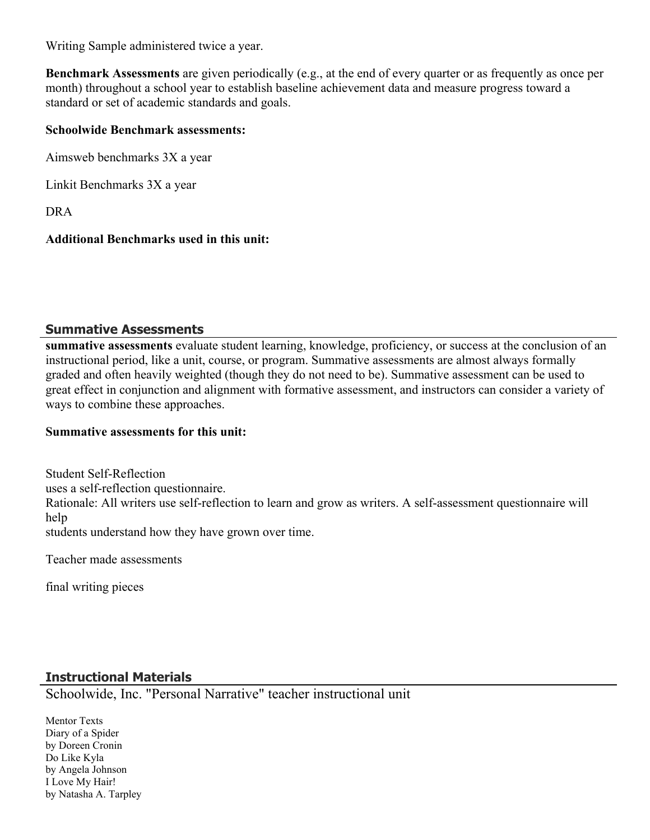Writing Sample administered twice a year.

**Benchmark Assessments** are given periodically (e.g., at the end of every quarter or as frequently as once per month) throughout a school year to establish baseline achievement data and measure progress toward a standard or set of academic standards and goals.

#### **Schoolwide Benchmark assessments:**

Aimsweb benchmarks 3X a year

Linkit Benchmarks 3X a year

DRA

## **Additional Benchmarks used in this unit:**

## **Summative Assessments**

**summative assessments** evaluate student learning, knowledge, proficiency, or success at the conclusion of an instructional period, like a unit, course, or program. Summative assessments are almost always formally graded and often heavily weighted (though they do not need to be). Summative assessment can be used to great effect in conjunction and alignment with formative assessment, and instructors can consider a variety of ways to combine these approaches.

## **Summative assessments for this unit:**

Student Self-Reflection uses a self-reflection questionnaire. Rationale: All writers use self-reflection to learn and grow as writers. A self-assessment questionnaire will help students understand how they have grown over time.

Teacher made assessments

final writing pieces

# **Instructional Materials**

Schoolwide, Inc. "Personal Narrative" teacher instructional unit

Mentor Texts Diary of a Spider by Doreen Cronin Do Like Kyla by Angela Johnson I Love My Hair! by Natasha A. Tarpley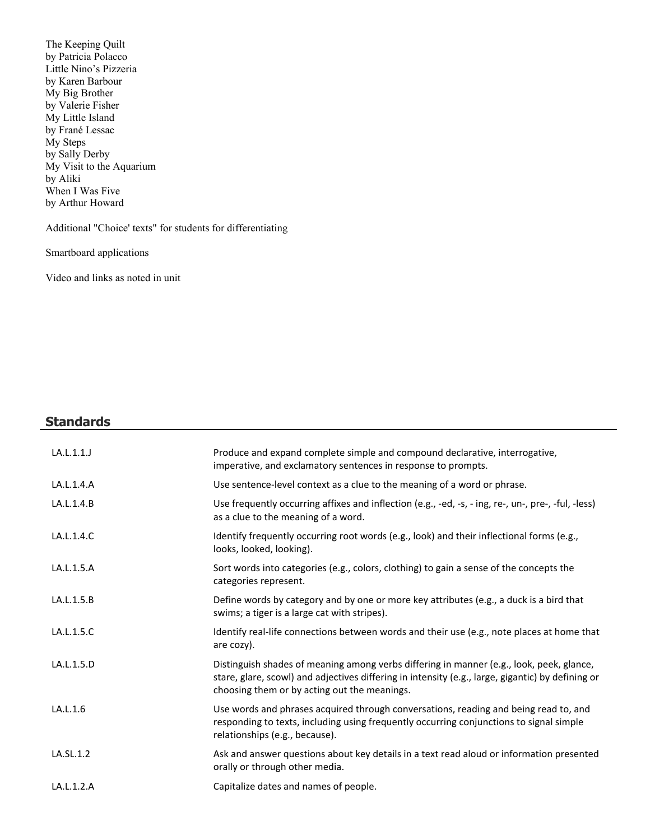The Keeping Quilt by Patricia Polacco Little Nino's Pizzeria by Karen Barbour My Big Brother by Valerie Fisher My Little Island by Frané Lessac My Steps by Sally Derby My Visit to the Aquarium by Aliki When I Was Five by Arthur Howard

Additional "Choice' texts" for students for differentiating

Smartboard applications

Video and links as noted in unit

# **Standards**

| LA.L.1.1.J | Produce and expand complete simple and compound declarative, interrogative,<br>imperative, and exclamatory sentences in response to prompts.                                                                                                  |
|------------|-----------------------------------------------------------------------------------------------------------------------------------------------------------------------------------------------------------------------------------------------|
| LA.L.1.4.A | Use sentence-level context as a clue to the meaning of a word or phrase.                                                                                                                                                                      |
| LA.L.1.4.B | Use frequently occurring affixes and inflection (e.g., -ed, -s, - ing, re-, un-, pre-, -ful, -less)<br>as a clue to the meaning of a word.                                                                                                    |
| LA.L.1.4.C | Identify frequently occurring root words (e.g., look) and their inflectional forms (e.g.,<br>looks, looked, looking).                                                                                                                         |
| LA.L.1.5.A | Sort words into categories (e.g., colors, clothing) to gain a sense of the concepts the<br>categories represent.                                                                                                                              |
| LA.L.1.5.B | Define words by category and by one or more key attributes (e.g., a duck is a bird that<br>swims; a tiger is a large cat with stripes).                                                                                                       |
| LA.L.1.5.C | Identify real-life connections between words and their use (e.g., note places at home that<br>are cozy).                                                                                                                                      |
| LA.L.1.5.D | Distinguish shades of meaning among verbs differing in manner (e.g., look, peek, glance,<br>stare, glare, scowl) and adjectives differing in intensity (e.g., large, gigantic) by defining or<br>choosing them or by acting out the meanings. |
| LA.L.1.6   | Use words and phrases acquired through conversations, reading and being read to, and<br>responding to texts, including using frequently occurring conjunctions to signal simple<br>relationships (e.g., because).                             |
| LA.SL.1.2  | Ask and answer questions about key details in a text read aloud or information presented<br>orally or through other media.                                                                                                                    |
| LA.L.1.2.A | Capitalize dates and names of people.                                                                                                                                                                                                         |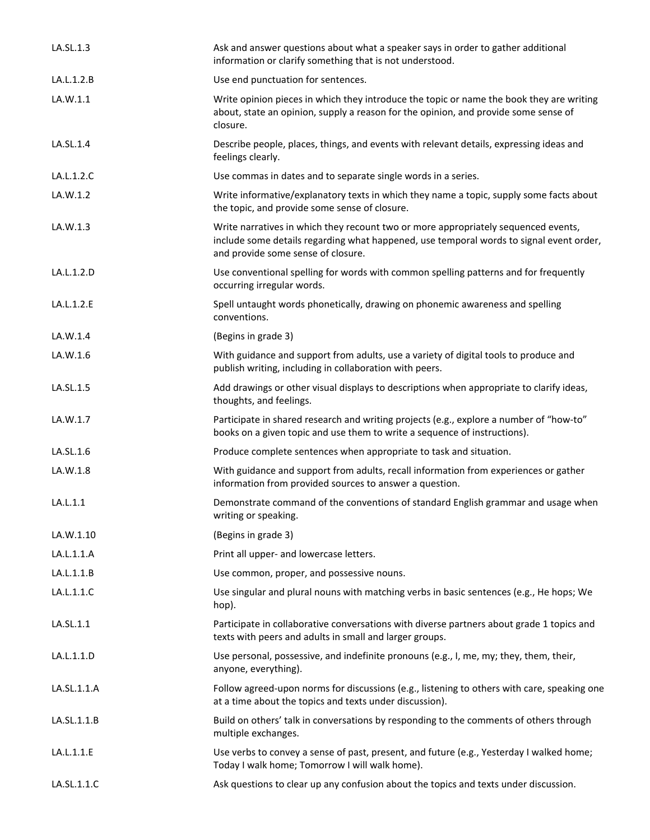| LA.SL.1.3   | Ask and answer questions about what a speaker says in order to gather additional<br>information or clarify something that is not understood.                                                                        |
|-------------|---------------------------------------------------------------------------------------------------------------------------------------------------------------------------------------------------------------------|
| LA.L.1.2.B  | Use end punctuation for sentences.                                                                                                                                                                                  |
| LA.W.1.1    | Write opinion pieces in which they introduce the topic or name the book they are writing<br>about, state an opinion, supply a reason for the opinion, and provide some sense of<br>closure.                         |
| LA.SL.1.4   | Describe people, places, things, and events with relevant details, expressing ideas and<br>feelings clearly.                                                                                                        |
| LA.L.1.2.C  | Use commas in dates and to separate single words in a series.                                                                                                                                                       |
| LA.W.1.2    | Write informative/explanatory texts in which they name a topic, supply some facts about<br>the topic, and provide some sense of closure.                                                                            |
| LA.W.1.3    | Write narratives in which they recount two or more appropriately sequenced events,<br>include some details regarding what happened, use temporal words to signal event order,<br>and provide some sense of closure. |
| LA.L.1.2.D  | Use conventional spelling for words with common spelling patterns and for frequently<br>occurring irregular words.                                                                                                  |
| LA.L.1.2.E  | Spell untaught words phonetically, drawing on phonemic awareness and spelling<br>conventions.                                                                                                                       |
| LA.W.1.4    | (Begins in grade 3)                                                                                                                                                                                                 |
| LA.W.1.6    | With guidance and support from adults, use a variety of digital tools to produce and<br>publish writing, including in collaboration with peers.                                                                     |
| LA.SL.1.5   | Add drawings or other visual displays to descriptions when appropriate to clarify ideas,<br>thoughts, and feelings.                                                                                                 |
| LA.W.1.7    | Participate in shared research and writing projects (e.g., explore a number of "how-to"<br>books on a given topic and use them to write a sequence of instructions).                                                |
| LA.SL.1.6   | Produce complete sentences when appropriate to task and situation.                                                                                                                                                  |
| LA.W.1.8    | With guidance and support from adults, recall information from experiences or gather<br>information from provided sources to answer a question.                                                                     |
| LA.L.1.1    | Demonstrate command of the conventions of standard English grammar and usage when<br>writing or speaking.                                                                                                           |
| LA.W.1.10   | (Begins in grade 3)                                                                                                                                                                                                 |
| LA.L.1.1.A  | Print all upper- and lowercase letters.                                                                                                                                                                             |
| LA.L.1.1.B  | Use common, proper, and possessive nouns.                                                                                                                                                                           |
| LA.L.1.1.C  | Use singular and plural nouns with matching verbs in basic sentences (e.g., He hops; We<br>hop).                                                                                                                    |
| LA.SL.1.1   | Participate in collaborative conversations with diverse partners about grade 1 topics and<br>texts with peers and adults in small and larger groups.                                                                |
| LA.L.1.1.D  | Use personal, possessive, and indefinite pronouns (e.g., I, me, my; they, them, their,<br>anyone, everything).                                                                                                      |
| LA.SL.1.1.A | Follow agreed-upon norms for discussions (e.g., listening to others with care, speaking one<br>at a time about the topics and texts under discussion).                                                              |
| LA.SL.1.1.B | Build on others' talk in conversations by responding to the comments of others through<br>multiple exchanges.                                                                                                       |
| LA.L.1.1.E  | Use verbs to convey a sense of past, present, and future (e.g., Yesterday I walked home;<br>Today I walk home; Tomorrow I will walk home).                                                                          |
| LA.SL.1.1.C | Ask questions to clear up any confusion about the topics and texts under discussion.                                                                                                                                |